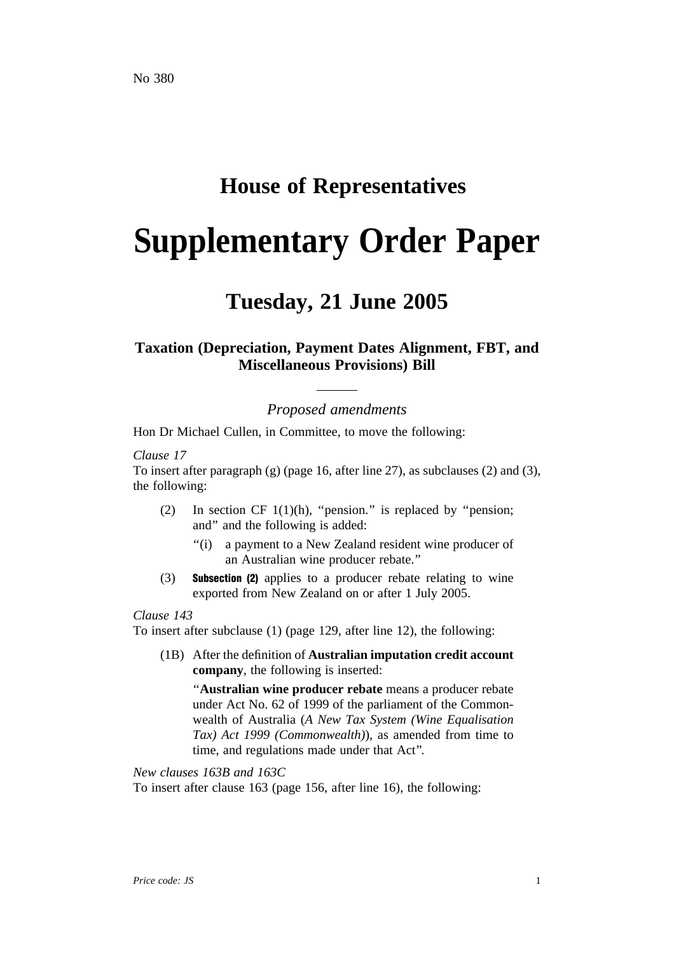# **House of Representatives**

# **Supplementary Order Paper**

# **Tuesday, 21 June 2005**

# **Taxation (Depreciation, Payment Dates Alignment, FBT, and Miscellaneous Provisions) Bill**

*Proposed amendments*

Hon Dr Michael Cullen, in Committee, to move the following:

#### *Clause 17*

To insert after paragraph (g) (page 16, after line 27), as subclauses (2) and (3), the following:

- (2) In section CF  $1(1)(h)$ , "pension." is replaced by "pension; and'' and the following is added:
	- ''(i) a payment to a New Zealand resident wine producer of an Australian wine producer rebate.''
- (3) Subsection (2) applies to a producer rebate relating to wine exported from New Zealand on or after 1 July 2005.

## *Clause 143*

To insert after subclause (1) (page 129, after line 12), the following:

(1B) After the definition of **Australian imputation credit account company**, the following is inserted:

''**Australian wine producer rebate** means a producer rebate under Act No. 62 of 1999 of the parliament of the Commonwealth of Australia (*A New Tax System (Wine Equalisation Tax) Act 1999 (Commonwealth)*), as amended from time to time, and regulations made under that Act''.

*New clauses 163B and 163C* To insert after clause 163 (page 156, after line 16), the following: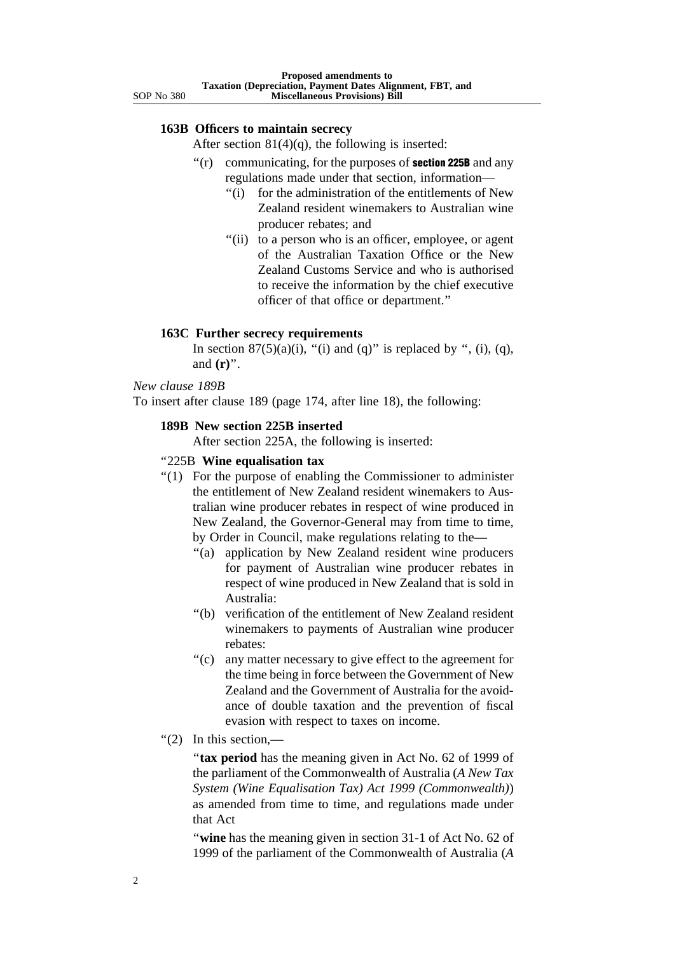## **163B Officers to maintain secrecy**

After section  $81(4)(q)$ , the following is inserted:

- $f(r)$  communicating, for the purposes of **section 225B** and any regulations made under that section, information—
	- ''(i) for the administration of the entitlements of New Zealand resident winemakers to Australian wine producer rebates; and
	- "(ii) to a person who is an officer, employee, or agent of the Australian Taxation Office or the New Zealand Customs Service and who is authorised to receive the information by the chief executive officer of that office or department.''

#### **163C Further secrecy requirements**

In section  $87(5)(a)(i)$ , "(i) and (q)" is replaced by ", (i), (q), and **(r)**''.

#### *New clause 189B*

To insert after clause 189 (page 174, after line 18), the following:

#### **189B New section 225B inserted**

After section 225A, the following is inserted:

#### ''225B **Wine equalisation tax**

- ''(1) For the purpose of enabling the Commissioner to administer the entitlement of New Zealand resident winemakers to Australian wine producer rebates in respect of wine produced in New Zealand, the Governor-General may from time to time, by Order in Council, make regulations relating to the—
	- ''(a) application by New Zealand resident wine producers for payment of Australian wine producer rebates in respect of wine produced in New Zealand that is sold in Australia:
	- ''(b) verification of the entitlement of New Zealand resident winemakers to payments of Australian wine producer rebates:
	- ''(c) any matter necessary to give effect to the agreement for the time being in force between the Government of New Zealand and the Government of Australia for the avoidance of double taxation and the prevention of fiscal evasion with respect to taxes on income.
- $"(2)$  In this section.—

''**tax period** has the meaning given in Act No. 62 of 1999 of the parliament of the Commonwealth of Australia (*A New Tax System (Wine Equalisation Tax) Act 1999 (Commonwealth)*) as amended from time to time, and regulations made under that Act

''**wine** has the meaning given in section 31-1 of Act No. 62 of 1999 of the parliament of the Commonwealth of Australia (*A*